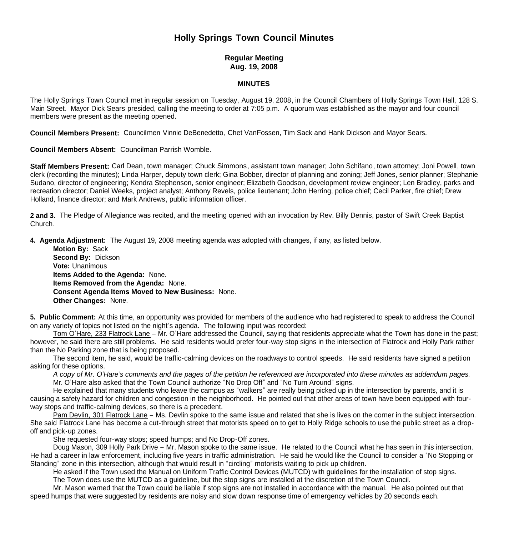# **Holly Springs Town Council Minutes**

## **Regular Meeting Aug. 19, 2008**

#### **MINUTES**

The Holly Springs Town Council met in regular session on Tuesday, August 19, 2008, in the Council Chambers of Holly Springs Town Hall, 128 S. Main Street. Mayor Dick Sears presided, calling the meeting to order at 7:05 p.m. A quorum was established as the mayor and four council members were present as the meeting opened.

**Council Members Present:** Councilmen Vinnie DeBenedetto, Chet VanFossen, Tim Sack and Hank Dickson and Mayor Sears.

**Council Members Absent:** Councilman Parrish Womble.

**Staff Members Present:** Carl Dean, town manager; Chuck Simmons, assistant town manager; John Schifano, town attorney; Joni Powell, town clerk (recording the minutes); Linda Harper, deputy town clerk; Gina Bobber, director of planning and zoning; Jeff Jones, senior planner; Stephanie Sudano, director of engineering; Kendra Stephenson, senior engineer; Elizabeth Goodson, development review engineer; Len Bradley, parks and recreation director; Daniel Weeks, project analyst; Anthony Revels, police lieutenant; John Herring, police chief; Cecil Parker, fire chief; Drew Holland, finance director; and Mark Andrews, public information officer.

**2 and 3.** The Pledge of Allegiance was recited, and the meeting opened with an invocation by Rev. Billy Dennis, pastor of Swift Creek Baptist Church.

**4. Agenda Adjustment:** The August 19, 2008 meeting agenda was adopted with changes, if any, as listed below.

 **Motion By:** Sack **Second By:** Dickson **Vote:** Unanimous  **Items Added to the Agenda:** None. **Items Removed from the Agenda:** None. **Consent Agenda Items Moved to New Business:** None. **Other Changes:** None.

**5. Public Comment:** At this time, an opportunity was provided for members of the audience who had registered to speak to address the Council on any variety of topics not listed on the night's agenda. The following input was recorded:

Tom O'Hare, 233 Flatrock Lane – Mr. O'Hare addressed the Council, saying that residents appreciate what the Town has done in the past; however, he said there are still problems. He said residents would prefer four-way stop signs in the intersection of Flatrock and Holly Park rather than the No Parking zone that is being proposed.

The second item, he said, would be traffic-calming devices on the roadways to control speeds. He said residents have signed a petition asking for these options.

*A copy of Mr. O'Hare's comments and the pages of the petition he referenced are incorporated into these minutes as addendum pages.* Mr. O'Hare also asked that the Town Council authorize "No Drop Off" and "No Turn Around" signs.

He explained that many students who leave the campus as "walkers" are really being picked up in the intersection by parents, and it is causing a safety hazard for children and congestion in the neighborhood. He pointed out that other areas of town have been equipped with fourway stops and traffic-calming devices, so there is a precedent.

Pam Devlin, 301 Flatrock Lane – Ms. Devlin spoke to the same issue and related that she is lives on the corner in the subject intersection. She said Flatrock Lane has become a cut-through street that motorists speed on to get to Holly Ridge schools to use the public street as a dropoff and pick-up zones.

She requested four-way stops; speed humps; and No Drop-Off zones.

Doug Mason, 309 Holly Park Drive – Mr. Mason spoke to the same issue. He related to the Council what he has seen in this intersection. He had a career in law enforcement, including five years in traffic administration. He said he would like the Council to consider a "No Stopping or Standing" zone in this intersection, although that would result in "circling" motorists waiting to pick up children.

He asked if the Town used the Manual on Uniform Traffic Control Devices (MUTCD) with guidelines for the installation of stop signs.

The Town does use the MUTCD as a guideline, but the stop signs are installed at the discretion of the Town Council.

Mr. Mason warned that the Town could be liable if stop signs are not installed in accordance with the manual. He also pointed out that speed humps that were suggested by residents are noisy and slow down response time of emergency vehicles by 20 seconds each.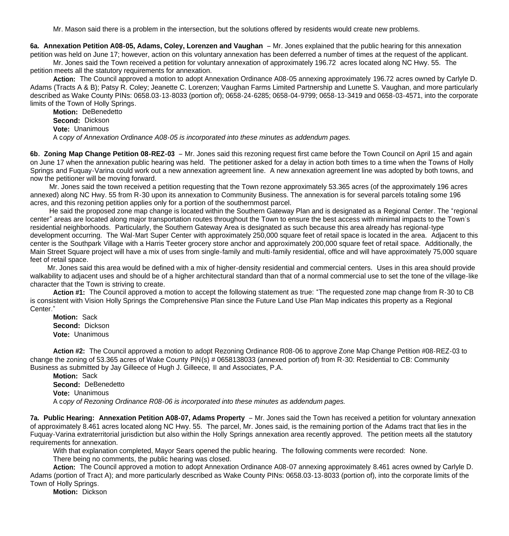Mr. Mason said there is a problem in the intersection, but the solutions offered by residents would create new problems.

**6a. Annexation Petition A08-05, Adams, Coley, Lorenzen and Vaughan** – Mr. Jones explained that the public hearing for this annexation petition was held on June 17; however, action on this voluntary annexation has been deferred a number of times at the request of the applicant.

Mr. Jones said the Town received a petition for voluntary annexation of approximately 196.72 acres located along NC Hwy. 55. The petition meets all the statutory requirements for annexation.

 **Action:** The Council approved a motion to adopt Annexation Ordinance A08-05 annexing approximately 196.72 acres owned by Carlyle D. Adams (Tracts A & B); Patsy R. Coley; Jeanette C. Lorenzen; Vaughan Farms Limited Partnership and Lunette S. Vaughan, and more particularly described as Wake County PINs: 0658.03-13-8033 (portion of); 0658-24-6285; 0658-04-9799; 0658-13-3419 and 0658-03-4571, into the corporate limits of the Town of Holly Springs.

**Motion:** DeBenedetto **Second:** Dickson **Vote:** Unanimous A c*opy of Annexation Ordinance A08-05 is incorporated into these minutes as addendum pages.*

**6b. Zoning Map Change Petition 08-REZ-03** – Mr. Jones said this rezoning request first came before the Town Council on April 15 and again on June 17 when the annexation public hearing was held. The petitioner asked for a delay in action both times to a time when the Towns of Holly Springs and Fuquay-Varina could work out a new annexation agreement line. A new annexation agreement line was adopted by both towns, and now the petitioner will be moving forward.

 Mr. Jones said the town received a petition requesting that the Town rezone approximately 53.365 acres (of the approximately 196 acres annexed) along NC Hwy. 55 from R-30 upon its annexation to Community Business. The annexation is for several parcels totaling some 196 acres, and this rezoning petition applies only for a portion of the southernmost parcel.

 He said the proposed zone map change is located within the Southern Gateway Plan and is designated as a Regional Center. The "regional center" areas are located along major transportation routes throughout the Town to ensure the best access with minimal impacts to the Town's residential neighborhoods. Particularly, the Southern Gateway Area is designated as such because this area already has regional-type development occurring. The Wal-Mart Super Center with approximately 250,000 square feet of retail space is located in the area. Adjacent to this center is the Southpark Village with a Harris Teeter grocery store anchor and approximately 200,000 square feet of retail space. Additionally, the Main Street Square project will have a mix of uses from single-family and multi-family residential, office and will have approximately 75,000 square feet of retail space.

 Mr. Jones said this area would be defined with a mix of higher-density residential and commercial centers. Uses in this area should provide walkability to adiacent uses and should be of a higher architectural standard than that of a normal commercial use to set the tone of the village-like character that the Town is striving to create.

**Action #1:** The Council approved a motion to accept the following statement as true: "The requested zone map change from R-30 to CB is consistent with Vision Holly Springs the Comprehensive Plan since the Future Land Use Plan Map indicates this property as a Regional Center."

**Motion:** Sack **Second:** Dickson **Vote:** Unanimous

**Action #2:** The Council approved a motion to adopt Rezoning Ordinance R08-06 to approve Zone Map Change Petition #08-REZ-03 to change the zoning of 53.365 acres of Wake County PIN(s) # 0658138033 (annexed portion of) from R-30: Residential to CB: Community Business as submitted by Jay Gilleece of Hugh J. Gilleece, III and Associates, P.A.

**Motion:** Sack **Second:** DeBenedetto  **Vote:** Unanimous A c*opy of Rezoning Ordinance R08-06 is incorporated into these minutes as addendum pages.*

**7a. Public Hearing: Annexation Petition A08-07, Adams Property** – Mr. Jones said the Town has received a petition for voluntary annexation of approximately 8.461 acres located along NC Hwy. 55. The parcel, Mr. Jones said, is the remaining portion of the Adams tract that lies in the Fuquay-Varina extraterritorial jurisdiction but also within the Holly Springs annexation area recently approved. The petition meets all the statutory requirements for annexation.

With that explanation completed, Mayor Sears opened the public hearing. The following comments were recorded: None.

There being no comments, the public hearing was closed.

**Action:** The Council approved a motion to adopt Annexation Ordinance A08-07 annexing approximately 8.461 acres owned by Carlyle D. Adams (portion of Tract A); and more particularly described as Wake County PINs: 0658.03-13-8033 (portion of), into the corporate limits of the Town of Holly Springs.

**Motion:** Dickson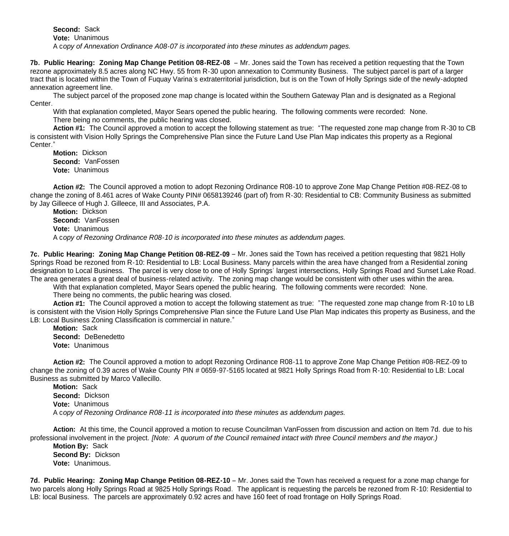**Second:** Sack **Vote:** Unanimous A c*opy of Annexation Ordinance A08-07 is incorporated into these minutes as addendum pages.*

**7b. Public Hearing: Zoning Map Change Petition 08-REZ-08** – Mr. Jones said the Town has received a petition requesting that the Town rezone approximately 8.5 acres along NC Hwy. 55 from R-30 upon annexation to Community Business. The subject parcel is part of a larger tract that is located within the Town of Fuquay Varina's extraterritorial jurisdiction, but is on the Town of Holly Springs side of the newly-adopted annexation agreement line.

 The subject parcel of the proposed zone map change is located within the Southern Gateway Plan and is designated as a Regional Center.

 With that explanation completed, Mayor Sears opened the public hearing. The following comments were recorded: None. There being no comments, the public hearing was closed.

**Action #1:** The Council approved a motion to accept the following statement as true: "The requested zone map change from R-30 to CB is consistent with Vision Holly Springs the Comprehensive Plan since the Future Land Use Plan Map indicates this property as a Regional Center."

**Motion:** Dickson **Second:** VanFossen **Vote:** Unanimous

**Action #2:** The Council approved a motion to adopt Rezoning Ordinance R08-10 to approve Zone Map Change Petition #08-REZ-08 to change the zoning of 8.461 acres of Wake County PIN# 0658139246 (part of) from R-30: Residential to CB: Community Business as submitted by Jay Gilleece of Hugh J. Gilleece, III and Associates, P.A.

**Motion:** Dickson **Second:** VanFossen  **Vote:** Unanimous A c*opy of Rezoning Ordinance R08-10 is incorporated into these minutes as addendum pages.*

**7c. Public Hearing: Zoning Map Change Petition 08-REZ-09** – Mr. Jones said the Town has received a petition requesting that 9821 Holly Springs Road be rezoned from R-10: Residential to LB: Local Business. Many parcels within the area have changed from a Residential zoning designation to Local Business. The parcel is very close to one of Holly Springs' largest intersections, Holly Springs Road and Sunset Lake Road. The area generates a great deal of business-related activity. The zoning map change would be consistent with other uses within the area.

 With that explanation completed, Mayor Sears opened the public hearing. The following comments were recorded: None. There being no comments, the public hearing was closed.

**Action #1:** The Council approved a motion to accept the following statement as true: "The requested zone map change from R-10 to LB is consistent with the Vision Holly Springs Comprehensive Plan since the Future Land Use Plan Map indicates this property as Business, and the

LB: Local Business Zoning Classification is commercial in nature." **Motion:** Sack **Second:** DeBenedetto **Vote:** Unanimous

**Action #2:** The Council approved a motion to adopt Rezoning Ordinance R08-11 to approve Zone Map Change Petition #08-REZ-09 to change the zoning of 0.39 acres of Wake County PIN # 0659-97-5165 located at 9821 Holly Springs Road from R-10: Residential to LB: Local Business as submitted by Marco Vallecillo.

**Motion:** Sack **Second:** Dickson  **Vote:** Unanimous A c*opy of Rezoning Ordinance R08-11 is incorporated into these minutes as addendum pages.*

 **Action:** At this time, the Council approved a motion to recuse Councilman VanFossen from discussion and action on Item 7d. due to his professional involvement in the project. *[Note: A quorum of the Council remained intact with three Council members and the mayor.)*

 **Motion By:** Sack  **Second By:** Dickson **Vote:** Unanimous.

**7d. Public Hearing: Zoning Map Change Petition 08-REZ-10** – Mr. Jones said the Town has received a request for a zone map change for two parcels along Holly Springs Road at 9825 Holly Springs Road. The applicant is requesting the parcels be rezoned from R-10: Residential to LB: local Business. The parcels are approximately 0.92 acres and have 160 feet of road frontage on Holly Springs Road.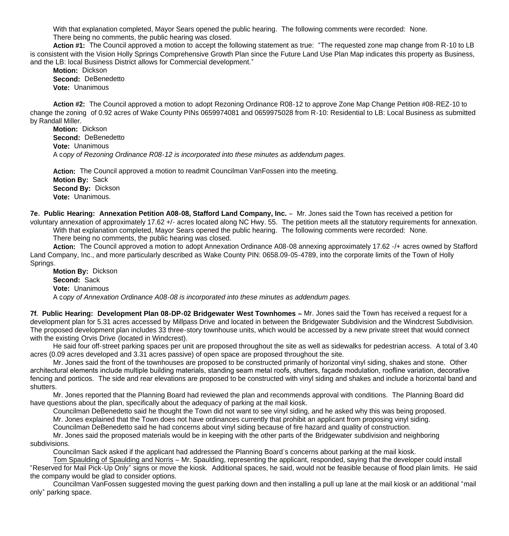With that explanation completed, Mayor Sears opened the public hearing. The following comments were recorded: None. There being no comments, the public hearing was closed.

**Action #1:** The Council approved a motion to accept the following statement as true: "The requested zone map change from R-10 to LB is consistent with the Vision Holly Springs Comprehensive Growth Plan since the Future Land Use Plan Map indicates this property as Business, and the LB: local Business District allows for Commercial development."

**Motion:** Dickson **Second:** DeBenedetto **Vote:** Unanimous

**Action #2:** The Council approved a motion to adopt Rezoning Ordinance R08-12 to approve Zone Map Change Petition #08-REZ-10 to change the zoning of 0.92 acres of Wake County PINs 0659974081 and 0659975028 from R-10: Residential to LB: Local Business as submitted by Randall Miller.

**Motion:** Dickson **Second:** DeBenedetto  **Vote:** Unanimous A c*opy of Rezoning Ordinance R08-12 is incorporated into these minutes as addendum pages.*

 **Action:** The Council approved a motion to readmit Councilman VanFossen into the meeting.  **Motion By:** Sack  **Second By:** Dickson **Vote:** Unanimous.

**7e. Public Hearing: Annexation Petition A08-08, Stafford Land Company, Inc.** – Mr. Jones said the Town has received a petition for voluntary annexation of approximately 17.62 +/- acres located along NC Hwy. 55. The petition meets all the statutory requirements for annexation. With that explanation completed, Mayor Sears opened the public hearing. The following comments were recorded: None.

There being no comments, the public hearing was closed.

**Action:** The Council approved a motion to adopt Annexation Ordinance A08-08 annexing approximately 17.62 -/+ acres owned by Stafford Land Company, Inc., and more particularly described as Wake County PIN: 0658.09-05-4789, into the corporate limits of the Town of Holly Springs.

**Motion By:** Dickson **Second:** Sack **Vote:** Unanimous A c*opy of Annexation Ordinance A08-08 is incorporated into these minutes as addendum pages.*

**7f. Public Hearing: Development Plan 08-DP-02 Bridgewater West Townhomes –** Mr. Jones said the Town has received a request for a development plan for 5.31 acres accessed by Millpass Drive and located in between the Bridgewater Subdivision and the Windcrest Subdivision. The proposed development plan includes 33 three-story townhouse units, which would be accessed by a new private street that would connect with the existing Orvis Drive (located in Windcrest).

 He said four off-street parking spaces per unit are proposed throughout the site as well as sidewalks for pedestrian access. A total of 3.40 acres (0.09 acres developed and 3.31 acres passive) of open space are proposed throughout the site.

 Mr. Jones said the front of the townhouses are proposed to be constructed primarily of horizontal vinyl siding, shakes and stone. Other architectural elements include multiple building materials, standing seam metal roofs, shutters, façade modulation, roofline variation, decorative fencing and porticos. The side and rear elevations are proposed to be constructed with vinyl siding and shakes and include a horizontal band and shutters.

 Mr. Jones reported that the Planning Board had reviewed the plan and recommends approval with conditions. The Planning Board did have questions about the plan, specifically about the adequacy of parking at the mail kiosk.

Councilman DeBenedetto said he thought the Town did not want to see vinyl siding, and he asked why this was being proposed.

Mr. Jones explained that the Town does not have ordinances currently that prohibit an applicant from proposing vinyl siding.

Councilman DeBenedetto said he had concerns about vinyl siding because of fire hazard and quality of construction.

 Mr. Jones said the proposed materials would be in keeping with the other parts of the Bridgewater subdivision and neighboring subdivisions.

Councilman Sack asked if the applicant had addressed the Planning Board's concerns about parking at the mail kiosk.

 Tom Spaulding of Spaulding and Norris – Mr. Spaulding, representing the applicant, responded, saying that the developer could install "Reserved for Mail Pick-Up Only" signs or move the kiosk. Additional spaces, he said, would not be feasible because of flood plain limits. He said the company would be glad to consider options.

 Councilman VanFossen suggested moving the guest parking down and then installing a pull up lane at the mail kiosk or an additional "mail only" parking space.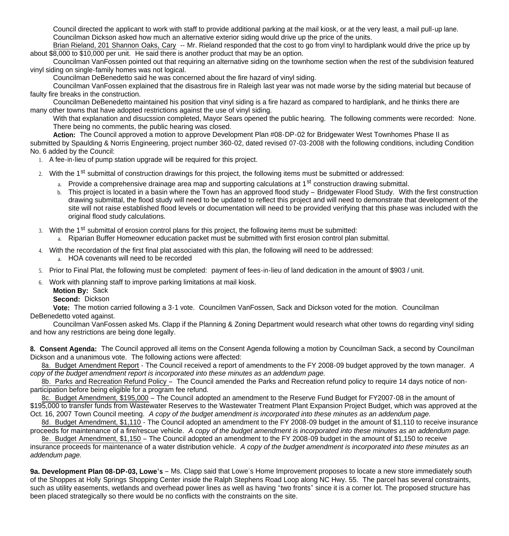Council directed the applicant to work with staff to provide additional parking at the mail kiosk, or at the very least, a mail pull-up lane. Councilman Dickson asked how much an alternative exterior siding would drive up the price of the units.

 Brian Rieland, 201 Shannon Oaks, Cary -- Mr. Rieland responded that the cost to go from vinyl to hardiplank would drive the price up by about \$8,000 to \$10,000 per unit. He said there is another product that may be an option.

 Councilman VanFossen pointed out that requiring an alternative siding on the townhome section when the rest of the subdivision featured vinyl siding on single-family homes was not logical.

Councilman DeBenedetto said he was concerned about the fire hazard of vinyl siding.

 Councilman VanFossen explained that the disastrous fire in Raleigh last year was not made worse by the siding material but because of faulty fire breaks in the construction.

 Councilman DeBenedetto maintained his position that vinyl siding is a fire hazard as compared to hardiplank, and he thinks there are many other towns that have adopted restrictions against the use of vinyl siding.

 With that explanation and disucssion completed, Mayor Sears opened the public hearing. The following comments were recorded: None. There being no comments, the public hearing was closed.

**Action:** The Council approved a motion to approve Development Plan #08-DP-02 for Bridgewater West Townhomes Phase II as submitted by Spaulding & Norris Engineering, project number 360-02, dated revised 07-03-2008 with the following conditions, including Condition No. 6 added by the Council:

1. A fee-in-lieu of pump station upgrade will be required for this project.

2. With the 1<sup>st</sup> submittal of construction drawings for this project, the following items must be submitted or addressed:

- a. Provide a comprehensive drainage area map and supporting calculations at 1<sup>st</sup> construction drawing submittal.
- b. This project is located in a basin where the Town has an approved flood study Bridgewater Flood Study. With the first construction drawing submittal, the flood study will need to be updated to reflect this project and will need to demonstrate that development of the site will not raise established flood levels or documentation will need to be provided verifying that this phase was included with the original flood study calculations.

3. With the 1<sup>st</sup> submittal of erosion control plans for this project, the following items must be submitted:

a. Riparian Buffer Homeowner education packet must be submitted with first erosion control plan submittal.

4. With the recordation of the first final plat associated with this plan, the following will need to be addressed:

a. HOA covenants will need to be recorded

5. Prior to Final Plat, the following must be completed: payment of fees-in-lieu of land dedication in the amount of \$903 / unit.

6. Work with planning staff to improve parking limitations at mail kiosk.

**Motion By:** Sack

**Second:** Dickson

**Vote:** The motion carried following a 3-1 vote. Councilmen VanFossen, Sack and Dickson voted for the motion. Councilman DeBenedetto voted against.

Councilman VanFossen asked Ms. Clapp if the Planning & Zoning Department would research what other towns do regarding vinyl siding and how any restrictions are being done legally.

**8. Consent Agenda:** The Council approved all items on the Consent Agenda following a motion by Councilman Sack, a second by Councilman Dickson and a unanimous vote. The following actions were affected:

 8a. Budget Amendment Report - The Council received a report of amendments to the FY 2008-09 budget approved by the town manager. *A copy of the budget amendment report is incorporated into these minutes as an addendum page.*

8b. Parks and Recreation Refund Policy - The Council amended the Parks and Recreation refund policy to require 14 days notice of nonparticipation before being eligible for a program fee refund.

 8c. Budget Amendment, \$195,000 – The Council adopted an amendment to the Reserve Fund Budget for FY2007-08 in the amount of \$195,000 to transfer funds from Wastewater Reserves to the Wastewater Treatment Plant Expansion Project Budget, which was approved at the Oct. 16, 2007 Town Council meeting. *A copy of the budget amendment is incorporated into these minutes as an addendum page.*

8d. Budget Amendment, \$1,110 - The Council adopted an amendment to the FY 2008-09 budget in the amount of \$1,110 to receive insurance proceeds for maintenance of a fire/rescue vehicle. *A copy of the budget amendment is incorporated into these minutes as an addendum page.*

 8e. Budget Amendment, \$1,150 – The Council adopted an amendment to the FY 2008-09 budget in the amount of \$1,150 to receive insurance proceeds for maintenance of a water distribution vehicle. *A copy of the budget amendment is incorporated into these minutes as an addendum page.*

**9a. Development Plan 08-DP-03, Lowe's** – Ms. Clapp said that Lowe's Home Improvement proposes to locate a new store immediately south of the Shoppes at Holly Springs Shopping Center inside the Ralph Stephens Road Loop along NC Hwy. 55. The parcel has several constraints, such as utility easements, wetlands and overhead power lines as well as having "two fronts" since it is a corner lot. The proposed structure has been placed strategically so there would be no conflicts with the constraints on the site.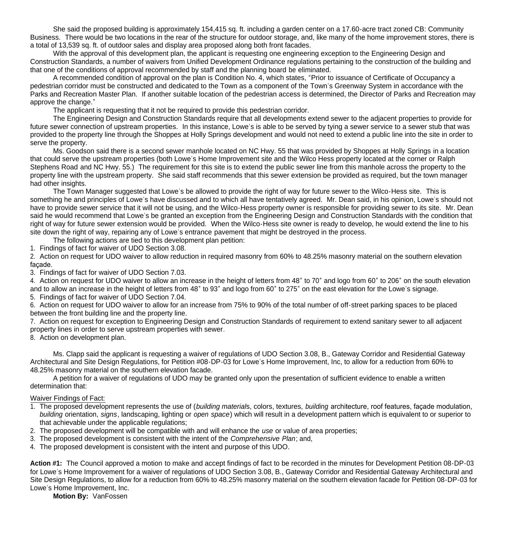She said the proposed building is approximately 154,415 sq. ft. including a garden center on a 17.60-acre tract zoned CB: Community Business. There would be two locations in the rear of the structure for outdoor storage, and, like many of the home improvement stores, there is a total of 13,539 sq. ft. of outdoor sales and display area proposed along both front facades.

With the approval of this development plan, the applicant is requesting one engineering exception to the Engineering Design and Construction Standards, a number of waivers from Unified Development Ordinance regulations pertaining to the construction of the building and that one of the conditions of approval recommended by staff and the planning board be eliminated.

A recommended condition of approval on the plan is Condition No. 4, which states, "Prior to issuance of Certificate of Occupancy a pedestrian corridor must be constructed and dedicated to the Town as a component of the Town's Greenway System in accordance with the Parks and Recreation Master Plan. If another suitable location of the pedestrian access is determined, the Director of Parks and Recreation may approve the change."

The applicant is requesting that it not be required to provide this pedestrian corridor.

The Engineering Design and Construction Standards require that all developments extend sewer to the adjacent properties to provide for future sewer connection of upstream properties. In this instance, Lowe's is able to be served by tying a sewer service to a sewer stub that was provided to the property line through the Shoppes at Holly Springs development and would not need to extend a public line into the site in order to serve the property.

 Ms. Goodson said there is a second sewer manhole located on NC Hwy. 55 that was provided by Shoppes at Holly Springs in a location that could serve the upstream properties (both Lowe's Home Improvement site and the Wilco Hess property located at the corner or Ralph Stephens Road and NC Hwy. 55.) The requirement for this site is to extend the public sewer line from this manhole across the property to the property line with the upstream property. She said staff recommends that this sewer extension be provided as required, but the town manager had other insights.

 The Town Manager suggested that Lowe's be allowed to provide the right of way for future sewer to the Wilco-Hess site. This is something he and principles of Lowe's have discussed and to which all have tentatively agreed. Mr. Dean said, in his opinion, Lowe's should not have to provide sewer service that it will not be using, and the Wilco-Hess property owner is responsible for providing sewer to its site. Mr. Dean said he would recommend that Lowe's be granted an exception from the Engineering Design and Construction Standards with the condition that right of way for future sewer extension would be provided. When the Wilco-Hess site owner is ready to develop, he would extend the line to his site down the right of way, repairing any of Lowe's entrance pavement that might be destroyed in the process.

The following actions are tied to this development plan petition:

1. Findings of fact for waiver of UDO Section 3.08.

2. Action on request for UDO waiver to allow reduction in required masonry from 60% to 48.25% masonry material on the southern elevation façade.

3. Findings of fact for waiver of UDO Section 7.03.

4. Action on request for UDO waiver to allow an increase in the height of letters from 48" to 70" and logo from 60" to 206" on the south elevation and to allow an increase in the height of letters from 48" to 93" and logo from 60" to 275" on the east elevation for the Lowe's signage.

5. Findings of fact for waiver of UDO Section 7.04.

6. Action on request for UDO waiver to allow for an increase from 75% to 90% of the total number of off-street parking spaces to be placed between the front building line and the property line.

7. Action on request for exception to Engineering Design and Construction Standards of requirement to extend sanitary sewer to all adjacent property lines in order to serve upstream properties with sewer.

8. Action on development plan.

 Ms. Clapp said the applicant is requesting a waiver of regulations of UDO Section 3.08, B., Gateway Corridor and Residential Gateway Architectural and Site Design Regulations, for Petition #08-DP-03 for Lowe's Home Improvement, Inc, to allow for a reduction from 60% to 48.25% masonry material on the southern elevation facade.

 A petition for a waiver of regulations of UDO may be granted only upon the presentation of sufficient evidence to enable a written determination that:

## Waiver Findings of Fact:

- 1. The proposed development represents the use of (*building material*s, colors, textures, *building* architecture, roof features, façade modulation, *building* orientation, *signs*, landscaping, lighting or *open space*) which will result in a development pattern which is equivalent to or superior to that achievable under the applicable regulations;
- 2. The proposed development will be compatible with and will enhance the *use* or value of area properties;
- 3. The proposed development is consistent with the intent of the *Comprehensive Plan*; and,
- 4. The proposed development is consistent with the intent and purpose of this UDO.

**Action #1:** The Council approved a motion to make and accept findings of fact to be recorded in the minutes for Development Petition 08-DP-03 for Lowe's Home Improvement for a waiver of regulations of UDO Section 3.08, B., Gateway Corridor and Residential Gateway Architectural and Site Design Regulations, to allow for a reduction from 60% to 48.25% masonry material on the southern elevation facade for Petition 08-DP-03 for Lowe's Home Improvement, Inc.

**Motion By:** VanFossen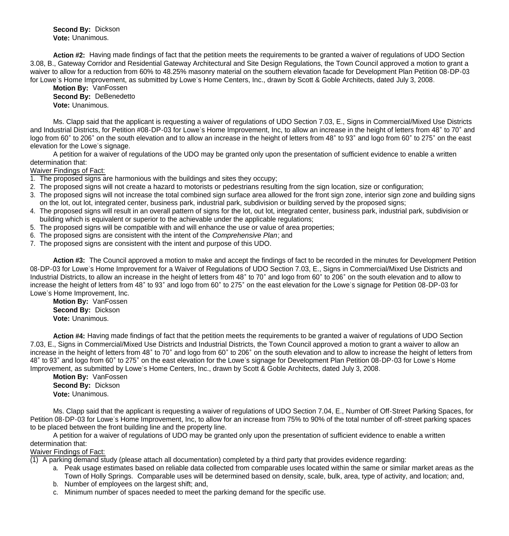**Second By:** Dickson **Vote:** Unanimous.

 **Action #2:** Having made findings of fact that the petition meets the requirements to be granted a waiver of regulations of UDO Section 3.08, B., Gateway Corridor and Residential Gateway Architectural and Site Design Regulations, the Town Council approved a motion to grant a waiver to allow for a reduction from 60% to 48.25% masonry material on the southern elevation facade for Development Plan Petition 08-DP-03 for Lowe's Home Improvement, as submitted by Lowe's Home Centers, Inc., drawn by Scott & Goble Architects, dated July 3, 2008.

 **Motion By:** VanFossen **Second By:** DeBenedetto **Vote:** Unanimous.

 Ms. Clapp said that the applicant is requesting a waiver of regulations of UDO Section 7.03, E., Signs in Commercial/Mixed Use Districts and Industrial Districts, for Petition #08-DP-03 for Lowe's Home Improvement, Inc, to allow an increase in the height of letters from 48" to 70" and logo from 60" to 206" on the south elevation and to allow an increase in the height of letters from 48" to 93" and logo from 60" to 275" on the east elevation for the Lowe's signage.

 A petition for a waiver of regulations of the UDO may be granted only upon the presentation of sufficient evidence to enable a written determination that:

#### Waiver Findings of Fact:

- 1. The proposed signs are harmonious with the buildings and sites they occupy;
- 2. The proposed signs will not create a hazard to motorists or pedestrians resulting from the sign location, size or configuration;
- 3. The proposed signs will not increase the total combined sign surface area allowed for the front sign zone, interior sign zone and building signs on the lot, out lot, integrated center, business park, industrial park, subdivision or building served by the proposed signs;
- 4. The proposed signs will result in an overall pattern of signs for the lot, out lot, integrated center, business park, industrial park, subdivision or building which is equivalent or superior to the achievable under the applicable regulations;
- 5. The proposed signs will be compatible with and will enhance the use or value of area properties;
- 6. The proposed signs are consistent with the intent of the *Comprehensive Plan*; and
- 7. The proposed signs are consistent with the intent and purpose of this UDO.

 **Action #3:** The Council approved a motion to make and accept the findings of fact to be recorded in the minutes for Development Petition 08-DP-03 for Lowe's Home Improvement for a Waiver of Regulations of UDO Section 7.03, E., Signs in Commercial/Mixed Use Districts and Industrial Districts, to allow an increase in the height of letters from 48" to 70" and logo from 60" to 206" on the south elevation and to allow to increase the height of letters from 48" to 93" and logo from 60" to 275" on the east elevation for the Lowe's signage for Petition 08-DP-03 for Lowe's Home Improvement, Inc.

 **Motion By:** VanFossen **Second By:** Dickson **Vote:** Unanimous.

 **Action #4:** Having made findings of fact that the petition meets the requirements to be granted a waiver of regulations of UDO Section 7.03, E., Signs in Commercial/Mixed Use Districts and Industrial Districts, the Town Council approved a motion to grant a waiver to allow an increase in the height of letters from 48" to 70" and logo from 60" to 206" on the south elevation and to allow to increase the height of letters from 48" to 93" and logo from 60" to 275" on the east elevation for the Lowe's signage for Development Plan Petition 08-DP-03 for Lowe's Home Improvement, as submitted by Lowe's Home Centers, Inc., drawn by Scott & Goble Architects, dated July 3, 2008.

 **Motion By:** VanFossen **Second By:** Dickson **Vote:** Unanimous.

 Ms. Clapp said that the applicant is requesting a waiver of regulations of UDO Section 7.04, E., Number of Off-Street Parking Spaces, for Petition 08-DP-03 for Lowe's Home Improvement, Inc, to allow for an increase from 75% to 90% of the total number of off-street parking spaces to be placed between the front building line and the property line.

 A petition for a waiver of regulations of UDO may be granted only upon the presentation of sufficient evidence to enable a written determination that:

## Waiver Findings of Fact:

(1) A parking demand study (please attach all documentation) completed by a third party that provides evidence regarding:

- a. Peak usage estimates based on reliable data collected from comparable uses located within the same or similar market areas as the Town of Holly Springs. Comparable uses will be determined based on density, scale, bulk, area, type of activity, and location; and,
- b. Number of employees on the largest shift; and,
- c. Minimum number of spaces needed to meet the parking demand for the specific use.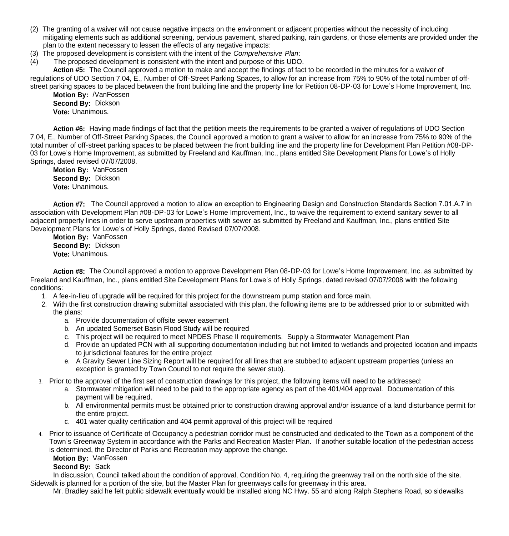- (2) The granting of a waiver will not cause negative impacts on the environment or adjacent properties without the necessity of including mitigating elements such as additional screening, pervious pavement, shared parking, rain gardens, or those elements are provided under the plan to the extent necessary to lessen the effects of any negative impacts:
- (3) The proposed development is consistent with the intent of the *Comprehensive Plan*:
- (4) The proposed development is consistent with the intent and purpose of this UDO.

 **Action #5:** The Council approved a motion to make and accept the findings of fact to be recorded in the minutes for a waiver of regulations of UDO Section 7.04, E., Number of Off-Street Parking Spaces, to allow for an increase from 75% to 90% of the total number of offstreet parking spaces to be placed between the front building line and the property line for Petition 08-DP-03 for Lowe's Home Improvement, Inc.

 **Motion By:** /VanFossen **Second By:** Dickson **Vote:** Unanimous.

 **Action #6:** Having made findings of fact that the petition meets the requirements to be granted a waiver of regulations of UDO Section 7.04, E., Number of Off-Street Parking Spaces, the Council approved a motion to grant a waiver to allow for an increase from 75% to 90% of the total number of off-street parking spaces to be placed between the front building line and the property line for Development Plan Petition #08-DP-03 for Lowe's Home Improvement, as submitted by Freeland and Kauffman, Inc., plans entitled Site Development Plans for Lowe's of Holly Springs, dated revised 07/07/2008.

 **Motion By:** VanFossen **Second By:** Dickson **Vote:** Unanimous.

 **Action #7:** The Council approved a motion to allow an exception to Engineering Design and Construction Standards Section 7.01.A.7 in association with Development Plan #08-DP-03 for Lowe's Home Improvement, Inc., to waive the requirement to extend sanitary sewer to all adjacent property lines in order to serve upstream properties with sewer as submitted by Freeland and Kauffman, Inc., plans entitled Site Development Plans for Lowe's of Holly Springs, dated Revised 07/07/2008.

 **Motion By:** VanFossen **Second By:** Dickson **Vote:** Unanimous.

 **Action #8:** The Council approved a motion to approve Development Plan 08-DP-03 for Lowe's Home Improvement, Inc. as submitted by Freeland and Kauffman, Inc., plans entitled Site Development Plans for Lowe's of Holly Springs, dated revised 07/07/2008 with the following conditions:

- 1. A fee-in-lieu of upgrade will be required for this project for the downstream pump station and force main.
- 2. With the first construction drawing submittal associated with this plan, the following items are to be addressed prior to or submitted with the plans:
	- a. Provide documentation of offsite sewer easement
	- b. An updated Somerset Basin Flood Study will be required
	- c. This project will be required to meet NPDES Phase II requirements. Supply a Stormwater Management Plan
	- d. Provide an updated PCN with all supporting documentation including but not limited to wetlands and projected location and impacts to jurisdictional features for the entire project
	- e. A Gravity Sewer Line Sizing Report will be required for all lines that are stubbed to adjacent upstream properties (unless an exception is granted by Town Council to not require the sewer stub).
- 3. Prior to the approval of the first set of construction drawings for this project, the following items will need to be addressed:
	- a. Stormwater mitigation will need to be paid to the appropriate agency as part of the 401/404 approval. Documentation of this payment will be required.
	- b. All environmental permits must be obtained prior to construction drawing approval and/or issuance of a land disturbance permit for the entire project.
	- c. 401 water quality certification and 404 permit approval of this project will be required
- 4. Prior to issuance of Certificate of Occupancy a pedestrian corridor must be constructed and dedicated to the Town as a component of the Town's Greenway System in accordance with the Parks and Recreation Master Plan. If another suitable location of the pedestrian access is determined, the Director of Parks and Recreation may approve the change.

## **Motion By:** VanFossen

## **Second By:** Sack

 In discussion, Council talked about the condition of approval, Condition No. 4, requiring the greenway trail on the north side of the site. Sidewalk is planned for a portion of the site, but the Master Plan for greenways calls for greenway in this area.

Mr. Bradley said he felt public sidewalk eventually would be installed along NC Hwy. 55 and along Ralph Stephens Road, so sidewalks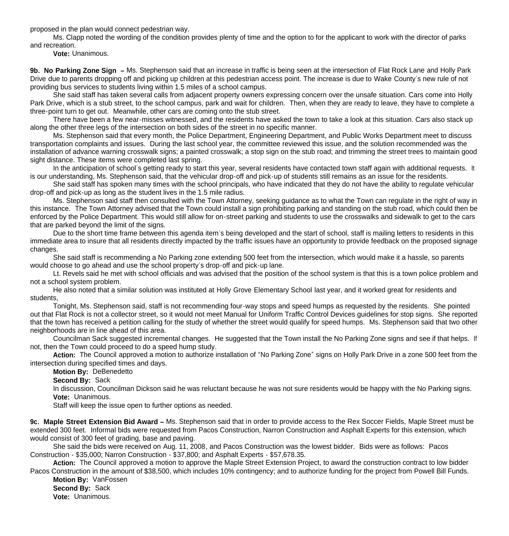proposed in the plan would connect pedestrian way.

 Ms. Clapp noted the wording of the condition provides plenty of time and the option to for the applicant to work with the director of parks and recreation.

**Vote:** Unanimous.

**9b. No Parking Zone Sign –** Ms. Stephenson said that an increase in traffic is being seen at the intersection of Flat Rock Lane and Holly Park Drive due to parents dropping off and picking up children at this pedestrian access point. The increase is due to Wake County's new rule of not providing bus services to students living within 1.5 miles of a school campus.

 She said staff has taken several calls from adjacent property owners expressing concern over the unsafe situation. Cars come into Holly Park Drive, which is a stub street, to the school campus, park and wait for children. Then, when they are ready to leave, they have to complete a three-point turn to get out. Meanwhile, other cars are coming onto the stub street.

 There have been a few near-misses witnessed, and the residents have asked the town to take a look at this situation. Cars also stack up along the other three legs of the intersection on both sides of the street in no specific manner.

 Ms. Stephenson said that every month, the Police Department, Engineering Department, and Public Works Department meet to discuss transportation complaints and issues. During the last school year, the committee reviewed this issue, and the solution recommended was the installation of advance warning crosswalk signs; a painted crosswalk; a stop sign on the stub road; and trimming the street trees to maintain good sight distance. These items were completed last spring.

 In the anticipation of school's getting ready to start this year, several residents have contacted town staff again with additional requests. It is our understanding, Ms. Stephenson said, that the vehicular drop-off and pick-up of students still remains as an issue for the residents.

 She said staff has spoken many times with the school principals, who have indicated that they do not have the ability to regulate vehicular drop-off and pick-up as long as the student lives in the 1.5 mile radius.

 Ms. Stephenson said staff then consulted with the Town Attorney, seeking guidance as to what the Town can regulate in the right of way in this instance. The Town Attorney advised that the Town could install a sign prohibiting parking and standing on the stub road, which could then be enforced by the Police Department. This would still allow for on-street parking and students to use the crosswalks and sidewalk to get to the cars that are parked beyond the limit of the signs.

 Due to the short time frame between this agenda item's being developed and the start of school, staff is mailing letters to residents in this immediate area to insure that all residents directly impacted by the traffic issues have an opportunity to provide feedback on the proposed signage changes.

She said staff is recommending a No Parking zone extending 500 feet from the intersection, which would make it a hassle, so parents would choose to go ahead and use the school property's drop-off and pick-up lane.

Lt. Revels said he met with school officials and was advised that the position of the school system is that this is a town police problem and not a school system problem.

He also noted that a similar solution was instituted at Holly Grove Elementary School last year, and it worked great for residents and students,

Tonight, Ms. Stephenson said, staff is not recommending four-way stops and speed humps as requested by the residents. She pointed out that Flat Rock is not a collector street, so it would not meet Manual for Uniform Traffic Control Devices guidelines for stop signs. She reported that the town has received a petition calling for the study of whether the street would qualify for speed humps. Ms. Stephenson said that two other neighborhoods are in line ahead of this area.

Councilman Sack suggested incremental changes. He suggested that the Town install the No Parking Zone signs and see if that helps. If not, then the Town could proceed to do a speed hump study.

**Action:** The Council approved a motion to authorize installation of "No Parking Zone" signs on Holly Park Drive in a zone 500 feet from the intersection during specified times and days.

**Motion By:** DeBenedetto

**Second By:** Sack

 In discussion, Councilman Dickson said he was reluctant because he was not sure residents would be happy with the No Parking signs. **Vote:** Unanimous.

Staff will keep the issue open to further options as needed.

**9c. Maple Street Extension Bid Award –** Ms. Stephenson said that in order to provide access to the Rex Soccer Fields, Maple Street must be extended 300 feet. Informal bids were requested from Pacos Construction, Narron Construction and Asphalt Experts for this extension, which would consist of 300 feet of grading, base and paving.

 She said the bids were received on Aug. 11, 2008, and Pacos Construction was the lowest bidder. Bids were as follows: Pacos Construction - \$35,000; Narron Construction - \$37,800; and Asphalt Experts - \$57,678.35.

Action: The Council approved a motion to approve the Maple Street Extension Project, to award the construction contract to low bidder Pacos Construction in the amount of \$38,500, which includes 10% contingency; and to authorize funding for the project from Powell Bill Funds.

**Motion By:** VanFossen **Second By:** Sack **Vote:** Unanimous.